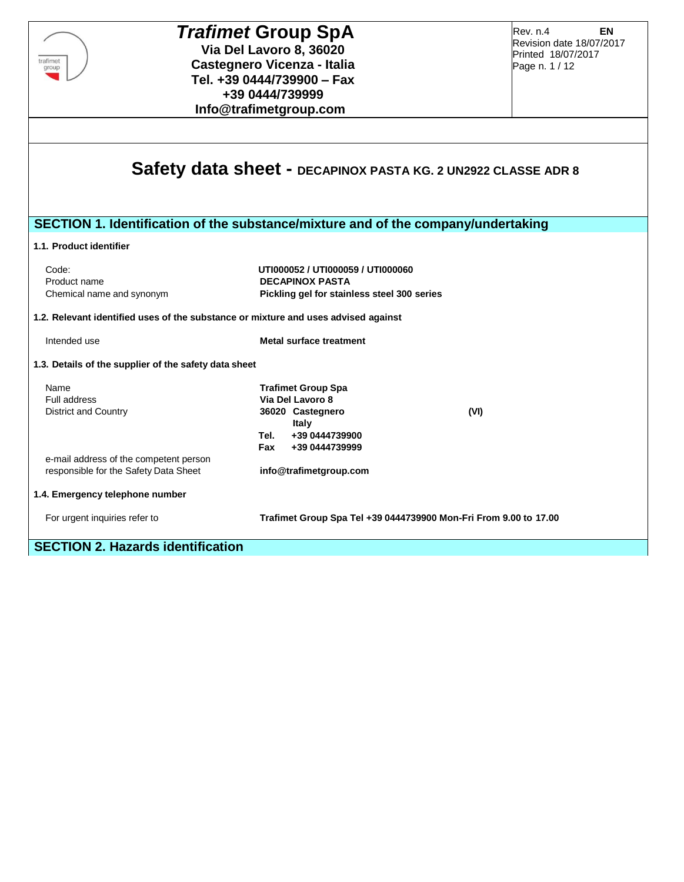| <b>Trafimet Group SpA</b><br>Via Del Lavoro 8, 36020<br>trafimet<br><b>Castegnero Vicenza - Italia</b><br>group<br>Tel. +39 0444/739900 - Fax | <b>EN</b><br>Rev. n.4<br>Revision date 18/07/2017<br>Printed 18/07/2017<br>Page n. 1 / 12                                                          |      |
|-----------------------------------------------------------------------------------------------------------------------------------------------|----------------------------------------------------------------------------------------------------------------------------------------------------|------|
|                                                                                                                                               | +39 0444/739999<br>Info@trafimetgroup.com                                                                                                          |      |
|                                                                                                                                               | Safety data sheet - DECAPINOX PASTA KG. 2 UN2922 CLASSE ADR 8<br>SECTION 1. Identification of the substance/mixture and of the company/undertaking |      |
| 1.1. Product identifier                                                                                                                       |                                                                                                                                                    |      |
| Code:<br>Product name<br>Chemical name and synonym                                                                                            | UT1000052 / UT1000059 / UT1000060<br><b>DECAPINOX PASTA</b><br>Pickling gel for stainless steel 300 series                                         |      |
| 1.2. Relevant identified uses of the substance or mixture and uses advised against                                                            |                                                                                                                                                    |      |
| Intended use                                                                                                                                  | <b>Metal surface treatment</b>                                                                                                                     |      |
| 1.3. Details of the supplier of the safety data sheet                                                                                         |                                                                                                                                                    |      |
| Name<br><b>Full address</b><br><b>District and Country</b>                                                                                    | <b>Trafimet Group Spa</b><br>Via Del Lavoro 8<br>36020 Castegnero<br>Italy<br>+39 0444739900<br>Tel.<br>Fax<br>+39 0444739999                      | (VI) |
| e-mail address of the competent person<br>responsible for the Safety Data Sheet                                                               | info@trafimetgroup.com                                                                                                                             |      |
| 1.4. Emergency telephone number                                                                                                               |                                                                                                                                                    |      |
| For urgent inquiries refer to                                                                                                                 | Trafimet Group Spa Tel +39 0444739900 Mon-Fri From 9.00 to 17.00                                                                                   |      |
| <b>SECTION 2. Hazards identification</b>                                                                                                      |                                                                                                                                                    |      |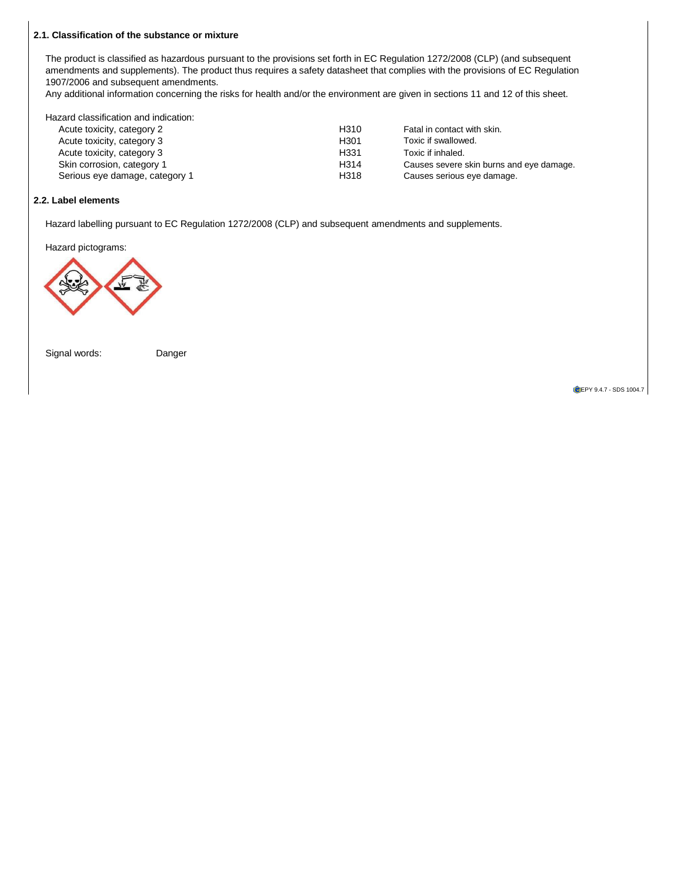# **RICERCRICERCRICERCRICERCRICERCRICERCRICERCRICERCRICERCRICERCRI 2.1. Classification of the substance or mixture**

The product is classified as hazardous pursuant to the provisions set forth in EC Regulation 1272/2008 (CLP) (and subsequent amendments and supplements). The product thus requires a safety datasheet that complies with the provisions of EC Regulation amendments and supplements). The product thus requires a safety datasheet that complies with the 1907/2006 and subsequent amendments.

1907/2006 and subsequent amendments.<br>Any additional information concerning the risks for health and/or the environment are given in sections 11 and 12 of this sheet.

| Hazard classification and indication: |                  |                                          |
|---------------------------------------|------------------|------------------------------------------|
| Acute toxicity, category 2            | H <sub>310</sub> | Fatal in contact with skin.              |
| Acute toxicity, category 3            | H <sub>301</sub> | Toxic if swallowed.                      |
| Acute toxicity, category 3            | H <sub>331</sub> | Toxic if inhaled.                        |
| Skin corrosion, category 1            | H <sub>314</sub> | Causes severe skin burns and eye damage. |
| Serious eye damage, category 1        | H318             | Causes serious eye damage.               |

### **R.C.R.C.R.C.R.C.R.C.R.C.R.C.R.C.R.C.R.C.R.C. 2.2. Label elements**

Hazard labelling pursuant to EC Regulation 1272/2008 (CLP) and subsequent amendments and supplements.<br> **Incoments** 

Hazard pictograms:



Signal words: Danger Cignal Worlds. Danger

**T**eanmitlyld

**OLEPY 9.4.7 - SDS 1004.7**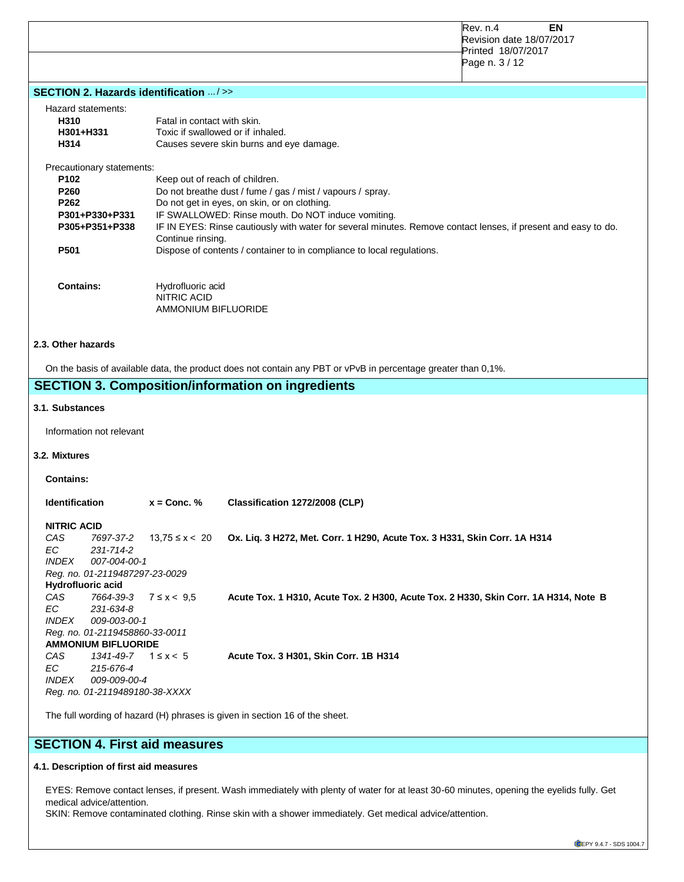|                                                                              |                                                                       | Rev. n.4<br>EN<br>Revision date 18/07/2017<br>Printed 18/07/2017<br>Page n. 3 / 12                                                                                                                                   |
|------------------------------------------------------------------------------|-----------------------------------------------------------------------|----------------------------------------------------------------------------------------------------------------------------------------------------------------------------------------------------------------------|
| SECTION 2. Hazards identification />>                                        |                                                                       |                                                                                                                                                                                                                      |
| Hazard statements:<br>H310<br>H301+H331<br>H314                              | Fatal in contact with skin.                                           | Toxic if swallowed or if inhaled.<br>Causes severe skin burns and eye damage.                                                                                                                                        |
| Precautionary statements:                                                    |                                                                       |                                                                                                                                                                                                                      |
| P <sub>102</sub>                                                             | Keep out of reach of children.                                        |                                                                                                                                                                                                                      |
| P260                                                                         |                                                                       | Do not breathe dust / fume / gas / mist / vapours / spray.                                                                                                                                                           |
| P262<br>P301+P330+P331<br>P305+P351+P338                                     | Continue rinsing.                                                     | Do not get in eyes, on skin, or on clothing.<br>IF SWALLOWED: Rinse mouth. Do NOT induce vomiting.<br>IF IN EYES: Rinse cautiously with water for several minutes. Remove contact lenses, if present and easy to do. |
| P501                                                                         |                                                                       | Dispose of contents / container to in compliance to local regulations.                                                                                                                                               |
| <b>Contains:</b>                                                             | Hydrofluoric acid<br><b>NITRIC ACID</b><br><b>AMMONIUM BIFLUORIDE</b> |                                                                                                                                                                                                                      |
| 2.3. Other hazards                                                           |                                                                       | On the basis of available data, the product does not contain any PBT or vPvB in percentage greater than 0,1%.<br><b>SECTION 3. Composition/information on ingredients</b>                                            |
| 3.1. Substances                                                              |                                                                       |                                                                                                                                                                                                                      |
| Information not relevant                                                     |                                                                       |                                                                                                                                                                                                                      |
| 3.2. Mixtures                                                                |                                                                       |                                                                                                                                                                                                                      |
| <b>Contains:</b>                                                             |                                                                       |                                                                                                                                                                                                                      |
| <b>Identification</b>                                                        | $x =$ Conc. %                                                         | Classification 1272/2008 (CLP)                                                                                                                                                                                       |
|                                                                              |                                                                       |                                                                                                                                                                                                                      |
| <b>NITRIC ACID</b><br>CAS<br>EС<br>231-714-2<br><b>INDEX</b><br>007-004-00-1 | 7697-37-2 13,75 ≤ x < 20                                              | Ox. Liq. 3 H272, Met. Corr. 1 H290, Acute Tox. 3 H331, Skin Corr. 1A H314                                                                                                                                            |
| Reg. no. 01-2119487297-23-0029                                               |                                                                       |                                                                                                                                                                                                                      |
| Hydrofluoric acid<br>CAS<br>7664-39-3<br>ЕC<br>231-634-8                     | $7 \le x < 9.5$                                                       | Acute Tox. 1 H310, Acute Tox. 2 H300, Acute Tox. 2 H330, Skin Corr. 1A H314, Note B                                                                                                                                  |
| <b>INDEX</b><br>009-003-00-1<br>Reg. no. 01-2119458860-33-0011               |                                                                       |                                                                                                                                                                                                                      |
| <b>AMMONIUM BIFLUORIDE</b>                                                   |                                                                       |                                                                                                                                                                                                                      |
| CAS<br>1341-49-7                                                             | $1 \leq x < 5$                                                        | Acute Tox. 3 H301, Skin Corr. 1B H314                                                                                                                                                                                |
| ЕC<br>215-676-4<br><i><b>INDEX</b></i><br>009-009-00-4                       |                                                                       |                                                                                                                                                                                                                      |
| Reg. no. 01-2119489180-38-XXXX                                               |                                                                       |                                                                                                                                                                                                                      |
|                                                                              |                                                                       | The full wording of hazard (H) phrases is given in section 16 of the sheet.                                                                                                                                          |

# **SECTION 4. First aid measures**

# **4.1. Description of first aid measures**

EYES: Remove contact lenses, if present. Wash immediately with plenty of water for at least 30-60 minutes, opening the eyelids fully. Get medical advice/attention.

SKIN: Remove contaminated clothing. Rinse skin with a shower immediately. Get medical advice/attention.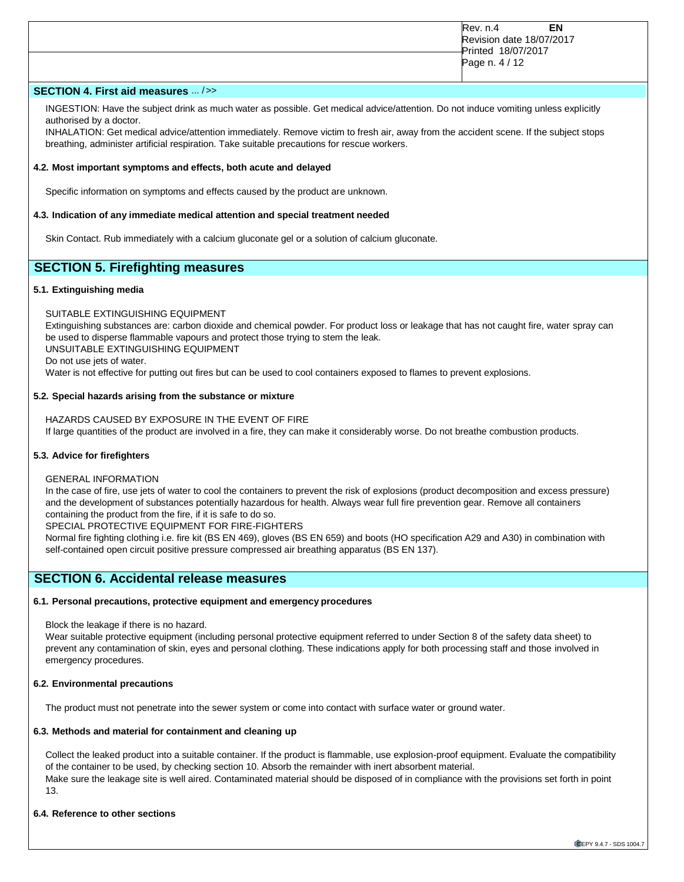| EN<br>Rev. n.4<br>Revision date 18/07/2017<br>Printed 18/07/2017 |
|------------------------------------------------------------------|
| Page n. 4 / 12                                                   |

# **SECTION 4. First aid measures** ... />>

INGESTION: Have the subject drink as much water as possible. Get medical advice/attention. Do not induce vomiting unless explicitly authorised by a doctor.

INHALATION: Get medical advice/attention immediately. Remove victim to fresh air, away from the accident scene. If the subject stops breathing, administer artificial respiration. Take suitable precautions for rescue workers.

#### **4.2. Most important symptoms and effects, both acute and delayed**

Specific information on symptoms and effects caused by the product are unknown.

#### **4.3. Indication of any immediate medical attention and special treatment needed**

Skin Contact. Rub immediately with a calcium gluconate gel or a solution of calcium gluconate.

# **SECTION 5. Firefighting measures**

#### **5.1. Extinguishing media**

SUITABLE EXTINGUISHING EQUIPMENT

Extinguishing substances are: carbon dioxide and chemical powder. For product loss or leakage that has not caught fire, water spray can be used to disperse flammable vapours and protect those trying to stem the leak. UNSUITABLE EXTINGUISHING EQUIPMENT

Do not use jets of water.

Water is not effective for putting out fires but can be used to cool containers exposed to flames to prevent explosions.

#### **5.2. Special hazards arising from the substance or mixture**

HAZARDS CAUSED BY EXPOSURE IN THE EVENT OF FIRE If large quantities of the product are involved in a fire, they can make it considerably worse. Do not breathe combustion products.

#### **5.3. Advice for firefighters**

GENERAL INFORMATION

In the case of fire, use jets of water to cool the containers to prevent the risk of explosions (product decomposition and excess pressure) and the development of substances potentially hazardous for health. Always wear full fire prevention gear. Remove all containers containing the product from the fire, if it is safe to do so.

SPECIAL PROTECTIVE EQUIPMENT FOR FIRE-FIGHTERS

Normal fire fighting clothing i.e. fire kit (BS EN 469), gloves (BS EN 659) and boots (HO specification A29 and A30) in combination with self-contained open circuit positive pressure compressed air breathing apparatus (BS EN 137).

# **SECTION 6. Accidental release measures**

# **6.1. Personal precautions, protective equipment and emergency procedures**

Block the leakage if there is no hazard.

Wear suitable protective equipment (including personal protective equipment referred to under Section 8 of the safety data sheet) to prevent any contamination of skin, eyes and personal clothing. These indications apply for both processing staff and those involved in emergency procedures.

# **6.2. Environmental precautions**

The product must not penetrate into the sewer system or come into contact with surface water or ground water.

# **6.3. Methods and material for containment and cleaning up**

Collect the leaked product into a suitable container. If the product is flammable, use explosion-proof equipment. Evaluate the compatibility of the container to be used, by checking section 10. Absorb the remainder with inert absorbent material. Make sure the leakage site is well aired. Contaminated material should be disposed of in compliance with the provisions set forth in point 13.

# **6.4. Reference to other sections**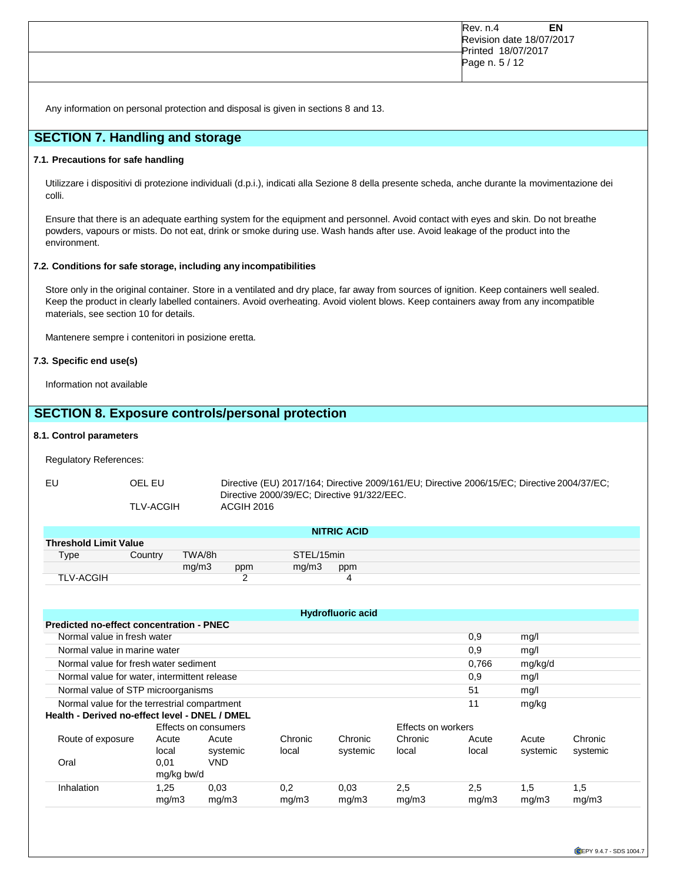| EN<br><b>Rev. n.4</b><br>Revision date 18/07/2017<br>Printed 18/07/2017<br>Page n. 5 / 12 |
|-------------------------------------------------------------------------------------------|
|                                                                                           |

Any information on personal protection and disposal is given in sections 8 and 13.

# **SECTION 7. Handling and storage**

# **7.1. Precautions for safe handling**

Utilizzare i dispositivi di protezione individuali (d.p.i.), indicati alla Sezione 8 della presente scheda, anche durante la movimentazione dei colli.

Ensure that there is an adequate earthing system for the equipment and personnel. Avoid contact with eyes and skin. Do not breathe powders, vapours or mists. Do not eat, drink or smoke during use. Wash hands after use. Avoid leakage of the product into the environment.

### **7.2. Conditions for safe storage, including any incompatibilities**

Store only in the original container. Store in a ventilated and dry place, far away from sources of ignition. Keep containers well sealed. Keep the product in clearly labelled containers. Avoid overheating. Avoid violent blows. Keep containers away from any incompatible materials, see section 10 for details.

Mantenere sempre i contenitori in posizione eretta.

## **7.3. Specific end use(s)**

Information not available

# **SECTION 8. Exposure controls/personal protection**

#### **8.1. Control parameters**

Regulatory References:

|  |  | TI VLACCI |
|--|--|-----------|

EU OEL EU Directive (EU) 2017/164; Directive 2009/161/EU; Directive 2006/15/EC; Directive 2004/37/EC; Directive 2000/39/EC; Directive 91/322/EEC. TLV-ACGIH ACGIH 2016

| NITRIC ACID                  |         |        |     |            |     |  |
|------------------------------|---------|--------|-----|------------|-----|--|
| <b>Threshold Limit Value</b> |         |        |     |            |     |  |
| Type                         | Country | TWA/8h |     | STEL/15min |     |  |
|                              |         | mg/m3  | ppm | mq/m3      | ppm |  |
| <b>TLV-ACGIH</b>             |         |        |     |            | 4   |  |

| <b>Hydrofluoric acid</b>                     |                                                                                                               |                        |              |               |                           |              |              |              |
|----------------------------------------------|---------------------------------------------------------------------------------------------------------------|------------------------|--------------|---------------|---------------------------|--------------|--------------|--------------|
| Predicted no-effect concentration - PNEC     |                                                                                                               |                        |              |               |                           |              |              |              |
| Normal value in fresh water<br>0,9<br>mg/l   |                                                                                                               |                        |              |               |                           |              |              |              |
| Normal value in marine water<br>0.9<br>mg/l  |                                                                                                               |                        |              |               |                           |              |              |              |
| Normal value for fresh water sediment        |                                                                                                               |                        |              |               |                           | 0.766        | mg/kg/d      |              |
| Normal value for water, intermittent release |                                                                                                               |                        |              |               |                           | 0,9          | mg/l         |              |
| Normal value of STP microorganisms           |                                                                                                               |                        |              |               |                           | 51           | mg/l         |              |
|                                              | Normal value for the terrestrial compartment<br>11<br>mg/kg<br>Health - Derived no-effect level - DNEL / DMEL |                        |              |               |                           |              |              |              |
|                                              |                                                                                                               | Effects on consumers   |              |               | <b>Effects on workers</b> |              |              |              |
| Route of exposure                            | Acute                                                                                                         | Acute                  | Chronic      | Chronic       | Chronic                   | Acute        | Acute        | Chronic      |
| Oral                                         | local<br>0,01<br>mg/kg bw/d                                                                                   | systemic<br><b>VND</b> | local        | systemic      | local                     | local        | systemic     | systemic     |
| Inhalation                                   | 1.25<br>mg/m3                                                                                                 | 0.03<br>mg/m3          | 0.2<br>mq/m3 | 0.03<br>mg/m3 | 2,5<br>mg/m3              | 2,5<br>mg/m3 | 1,5<br>mq/m3 | 1,5<br>mg/m3 |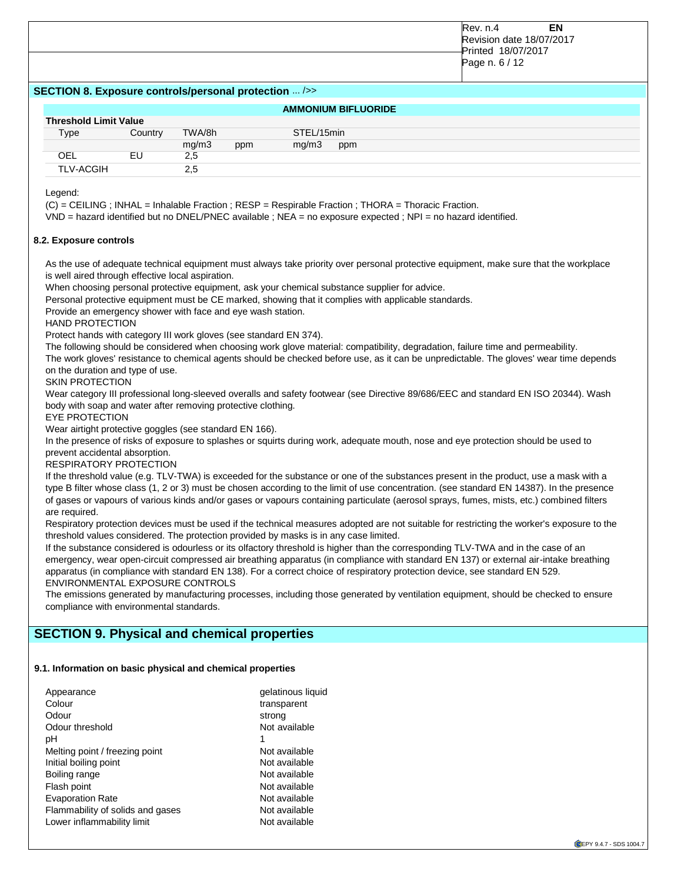| EN<br>Rev. n.4           |
|--------------------------|
| Revision date 18/07/2017 |
| Printed 18/07/2017       |
| Page n. 6 / 12           |
|                          |
|                          |

#### **SECTION 8. Exposure controls/personal protection** ... />>

# **AMMONIUM BIFLUORIDE**

| <b>Threshold Limit Value</b> |         |        |     |            |     |
|------------------------------|---------|--------|-----|------------|-----|
| Type                         | Country | TWA/8h |     | STEL/15min |     |
|                              |         | mq/m3  | ppm | mq/m3      | ppm |
| OEL                          | EU      | 2.5    |     |            |     |
| <b>TLV-ACGIH</b>             |         | 2.5    |     |            |     |

Legend:

(C) = CEILING ; INHAL = Inhalable Fraction ; RESP = Respirable Fraction ; THORA = Thoracic Fraction.

VND = hazard identified but no DNEL/PNEC available ; NEA = no exposure expected ; NPI = no hazard identified.

#### **8.2. Exposure controls**

As the use of adequate technical equipment must always take priority over personal protective equipment, make sure that the workplace is well aired through effective local aspiration.

When choosing personal protective equipment, ask your chemical substance supplier for advice.

Personal protective equipment must be CE marked, showing that it complies with applicable standards.

Provide an emergency shower with face and eye wash station.

HAND PROTECTION

Protect hands with category III work gloves (see standard EN 374).

The following should be considered when choosing work glove material: compatibility, degradation, failure time and permeability.

The work gloves' resistance to chemical agents should be checked before use, as it can be unpredictable. The gloves' wear time depends on the duration and type of use.

#### SKIN PROTECTION

Wear category III professional long-sleeved overalls and safety footwear (see Directive 89/686/EEC and standard EN ISO 20344). Wash body with soap and water after removing protective clothing.

EYE PROTECTION

Wear airtight protective goggles (see standard EN 166).

In the presence of risks of exposure to splashes or squirts during work, adequate mouth, nose and eye protection should be used to prevent accidental absorption.

## RESPIRATORY PROTECTION

If the threshold value (e.g. TLV-TWA) is exceeded for the substance or one of the substances present in the product, use a mask with a type B filter whose class (1, 2 or 3) must be chosen according to the limit of use concentration. (see standard EN 14387). In the presence of gases or vapours of various kinds and/or gases or vapours containing particulate (aerosol sprays, fumes, mists, etc.) combined filters are required.

Respiratory protection devices must be used if the technical measures adopted are not suitable for restricting the worker's exposure to the threshold values considered. The protection provided by masks is in any case limited.

If the substance considered is odourless or its olfactory threshold is higher than the corresponding TLV-TWA and in the case of an emergency, wear open-circuit compressed air breathing apparatus (in compliance with standard EN 137) or external air-intake breathing apparatus (in compliance with standard EN 138). For a correct choice of respiratory protection device, see standard EN 529. ENVIRONMENTAL EXPOSURE CONTROLS

The emissions generated by manufacturing processes, including those generated by ventilation equipment, should be checked to ensure compliance with environmental standards.

# **SECTION 9. Physical and chemical properties**

#### **9.1. Information on basic physical and chemical properties**

| Appearance                       | gelatinous liquid |
|----------------------------------|-------------------|
| Colour                           | transparent       |
| Odour                            | strong            |
| Odour threshold                  | Not available     |
| рH                               |                   |
| Melting point / freezing point   | Not available     |
| Initial boiling point            | Not available     |
| Boiling range                    | Not available     |
| Flash point                      | Not available     |
| <b>Evaporation Rate</b>          | Not available     |
| Flammability of solids and gases | Not available     |
| Lower inflammability limit       | Not available     |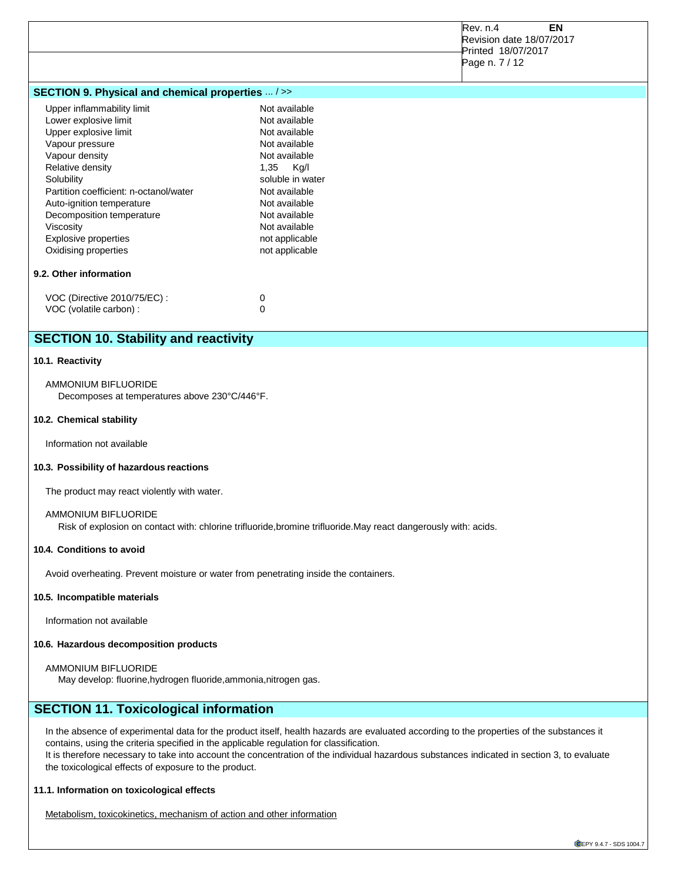|                                                                                                                                                                                                                                                                                                                             |                                                                                                                                                                                                                            | Rev. n.4<br><b>EN</b><br>Revision date 18/07/2017<br>Printed 18/07/2017<br>Page n. 7 / 12 |
|-----------------------------------------------------------------------------------------------------------------------------------------------------------------------------------------------------------------------------------------------------------------------------------------------------------------------------|----------------------------------------------------------------------------------------------------------------------------------------------------------------------------------------------------------------------------|-------------------------------------------------------------------------------------------|
| SECTION 9. Physical and chemical properties  / >>                                                                                                                                                                                                                                                                           |                                                                                                                                                                                                                            |                                                                                           |
| Upper inflammability limit<br>Lower explosive limit<br>Upper explosive limit<br>Vapour pressure<br>Vapour density<br>Relative density<br>Solubility<br>Partition coefficient: n-octanol/water<br>Auto-ignition temperature<br>Decomposition temperature<br>Viscosity<br><b>Explosive properties</b><br>Oxidising properties | Not available<br>Not available<br>Not available<br>Not available<br>Not available<br>1,35 Kg/I<br>soluble in water<br>Not available<br>Not available<br>Not available<br>Not available<br>not applicable<br>not applicable |                                                                                           |
| 9.2. Other information                                                                                                                                                                                                                                                                                                      |                                                                                                                                                                                                                            |                                                                                           |
| VOC (Directive 2010/75/EC) :<br>VOC (volatile carbon) :                                                                                                                                                                                                                                                                     | 0<br>$\mathbf 0$                                                                                                                                                                                                           |                                                                                           |
| <b>SECTION 10. Stability and reactivity</b>                                                                                                                                                                                                                                                                                 |                                                                                                                                                                                                                            |                                                                                           |

#### **10.1. Reactivity**

AMMONIUM BIFLUORIDE Decomposes at temperatures above 230°C/446°F.

#### **10.2. Chemical stability**

Information not available

#### **10.3. Possibility of hazardous reactions**

The product may react violently with water.

#### AMMONIUM BIFLUORIDE

Risk of explosion on contact with: chlorine trifluoride,bromine trifluoride.May react dangerously with: acids.

## **10.4. Conditions to avoid**

Avoid overheating. Prevent moisture or water from penetrating inside the containers.

#### **10.5. Incompatible materials**

Information not available

## **10.6. Hazardous decomposition products**

#### AMMONIUM BIFLUORIDE

May develop: fluorine,hydrogen fluoride,ammonia,nitrogen gas.

# **SECTION 11. Toxicological information**

In the absence of experimental data for the product itself, health hazards are evaluated according to the properties of the substances it contains, using the criteria specified in the applicable regulation for classification. It is therefore necessary to take into account the concentration of the individual hazardous substances indicated in section 3, to evaluate the toxicological effects of exposure to the product.

#### **11.1. Information on toxicological effects**

Metabolism, toxicokinetics, mechanism of action and other information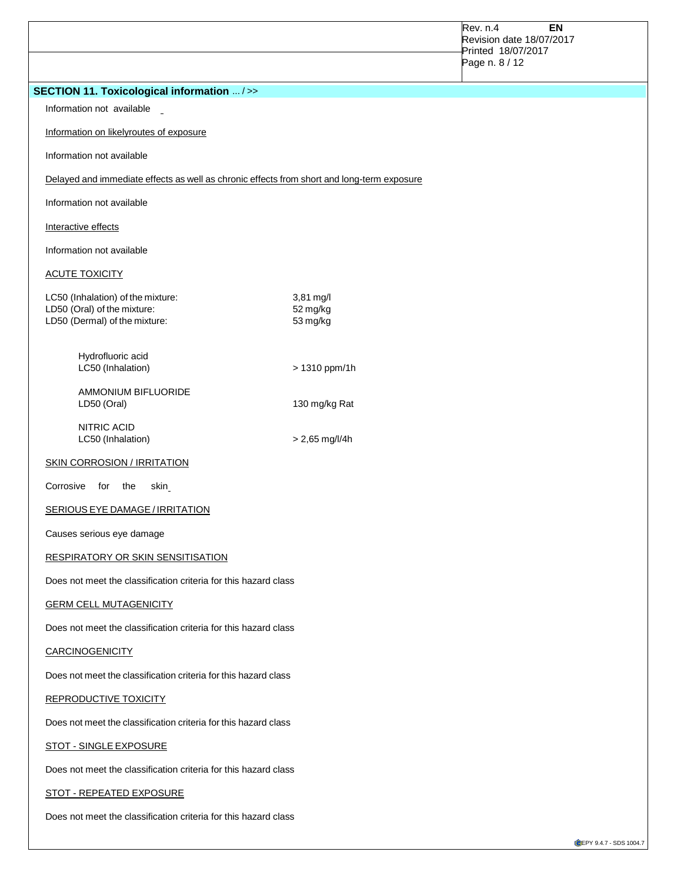|                                                                                                   |                                   | Rev. n.4<br>EN<br>Revision date 18/07/2017<br>Printed 18/07/2017<br>Page n. 8 / 12 |
|---------------------------------------------------------------------------------------------------|-----------------------------------|------------------------------------------------------------------------------------|
| <b>SECTION 11. Toxicological information  / &gt;&gt;</b>                                          |                                   |                                                                                    |
| Information not available _                                                                       |                                   |                                                                                    |
| Information on likelyroutes of exposure                                                           |                                   |                                                                                    |
| Information not available                                                                         |                                   |                                                                                    |
| Delayed and immediate effects as well as chronic effects from short and long-term exposure        |                                   |                                                                                    |
| Information not available                                                                         |                                   |                                                                                    |
| Interactive effects                                                                               |                                   |                                                                                    |
| Information not available                                                                         |                                   |                                                                                    |
| <b>ACUTE TOXICITY</b>                                                                             |                                   |                                                                                    |
| LC50 (Inhalation) of the mixture:<br>LD50 (Oral) of the mixture:<br>LD50 (Dermal) of the mixture: | 3,81 mg/l<br>52 mg/kg<br>53 mg/kg |                                                                                    |
| Hydrofluoric acid<br>LC50 (Inhalation)                                                            | > 1310 ppm/1h                     |                                                                                    |
| <b>AMMONIUM BIFLUORIDE</b><br>LD50 (Oral)                                                         | 130 mg/kg Rat                     |                                                                                    |
| NITRIC ACID<br>LC50 (Inhalation)                                                                  | $> 2,65$ mg/l/4h                  |                                                                                    |
| <b>SKIN CORROSION / IRRITATION</b>                                                                |                                   |                                                                                    |
| Corrosive<br>for the<br>skin                                                                      |                                   |                                                                                    |
| <b>SERIOUS EYE DAMAGE / IRRITATION</b>                                                            |                                   |                                                                                    |
| Causes serious eye damage                                                                         |                                   |                                                                                    |
| <b>RESPIRATORY OR SKIN SENSITISATION</b>                                                          |                                   |                                                                                    |
| Does not meet the classification criteria for this hazard class                                   |                                   |                                                                                    |
| <b>GERM CELL MUTAGENICITY</b>                                                                     |                                   |                                                                                    |
| Does not meet the classification criteria for this hazard class                                   |                                   |                                                                                    |
| <b>CARCINOGENICITY</b>                                                                            |                                   |                                                                                    |
| Does not meet the classification criteria for this hazard class                                   |                                   |                                                                                    |
| REPRODUCTIVE TOXICITY                                                                             |                                   |                                                                                    |
| Does not meet the classification criteria for this hazard class                                   |                                   |                                                                                    |
| <b>STOT - SINGLE EXPOSURE</b>                                                                     |                                   |                                                                                    |
| Does not meet the classification criteria for this hazard class                                   |                                   |                                                                                    |
| STOT - REPEATED EXPOSURE                                                                          |                                   |                                                                                    |
| Does not meet the classification criteria for this hazard class                                   |                                   |                                                                                    |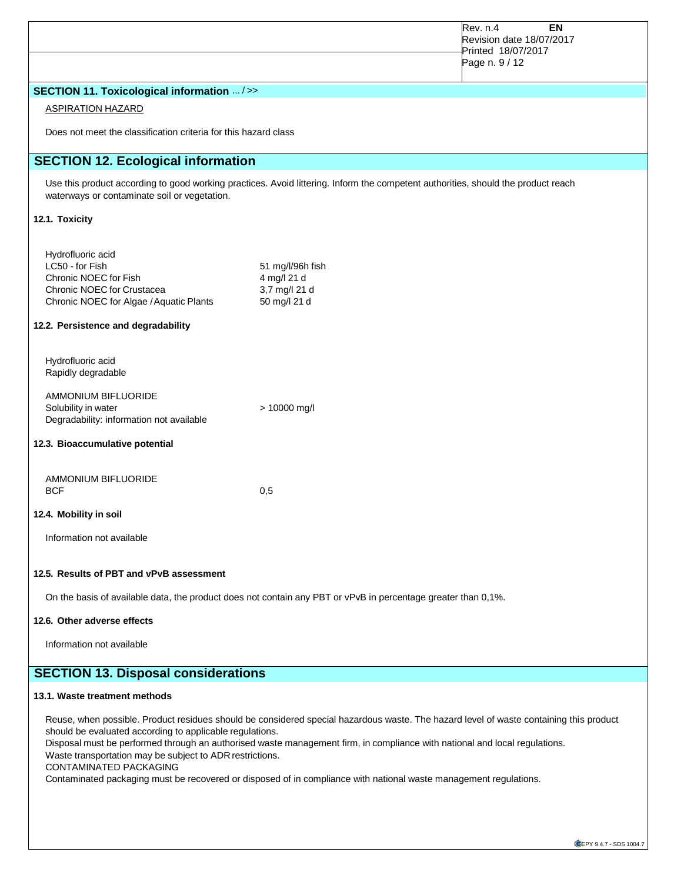|                                                                                                                                                                                                                                                                                                                                                                                                                                                                                                                                                    |                                                                                                                                   | Rev. n.4<br>EN<br>Revision date 18/07/2017 |  |
|----------------------------------------------------------------------------------------------------------------------------------------------------------------------------------------------------------------------------------------------------------------------------------------------------------------------------------------------------------------------------------------------------------------------------------------------------------------------------------------------------------------------------------------------------|-----------------------------------------------------------------------------------------------------------------------------------|--------------------------------------------|--|
|                                                                                                                                                                                                                                                                                                                                                                                                                                                                                                                                                    |                                                                                                                                   | Printed 18/07/2017<br>Page n. 9 / 12       |  |
| SECTION 11. Toxicological information  />>                                                                                                                                                                                                                                                                                                                                                                                                                                                                                                         |                                                                                                                                   |                                            |  |
| <b>ASPIRATION HAZARD</b>                                                                                                                                                                                                                                                                                                                                                                                                                                                                                                                           |                                                                                                                                   |                                            |  |
| Does not meet the classification criteria for this hazard class                                                                                                                                                                                                                                                                                                                                                                                                                                                                                    |                                                                                                                                   |                                            |  |
| <b>SECTION 12. Ecological information</b>                                                                                                                                                                                                                                                                                                                                                                                                                                                                                                          |                                                                                                                                   |                                            |  |
| waterways or contaminate soil or vegetation.                                                                                                                                                                                                                                                                                                                                                                                                                                                                                                       | Use this product according to good working practices. Avoid littering. Inform the competent authorities, should the product reach |                                            |  |
| 12.1. Toxicity                                                                                                                                                                                                                                                                                                                                                                                                                                                                                                                                     |                                                                                                                                   |                                            |  |
| Hydrofluoric acid<br>LC50 - for Fish<br>Chronic NOEC for Fish<br>Chronic NOEC for Crustacea<br>Chronic NOEC for Algae / Aquatic Plants                                                                                                                                                                                                                                                                                                                                                                                                             | 51 mg/l/96h fish<br>4 mg/l 21 d<br>3,7 mg/l 21 d<br>50 mg/l 21 d                                                                  |                                            |  |
| 12.2. Persistence and degradability                                                                                                                                                                                                                                                                                                                                                                                                                                                                                                                |                                                                                                                                   |                                            |  |
| Hydrofluoric acid<br>Rapidly degradable                                                                                                                                                                                                                                                                                                                                                                                                                                                                                                            |                                                                                                                                   |                                            |  |
| AMMONIUM BIFLUORIDE<br>Solubility in water<br>Degradability: information not available                                                                                                                                                                                                                                                                                                                                                                                                                                                             | > 10000 mg/l                                                                                                                      |                                            |  |
| 12.3. Bioaccumulative potential                                                                                                                                                                                                                                                                                                                                                                                                                                                                                                                    |                                                                                                                                   |                                            |  |
| AMMONIUM BIFLUORIDE<br><b>BCF</b>                                                                                                                                                                                                                                                                                                                                                                                                                                                                                                                  | 0,5                                                                                                                               |                                            |  |
| 12.4. Mobility in soil                                                                                                                                                                                                                                                                                                                                                                                                                                                                                                                             |                                                                                                                                   |                                            |  |
| Information not available                                                                                                                                                                                                                                                                                                                                                                                                                                                                                                                          |                                                                                                                                   |                                            |  |
| 12.5. Results of PBT and vPvB assessment                                                                                                                                                                                                                                                                                                                                                                                                                                                                                                           |                                                                                                                                   |                                            |  |
|                                                                                                                                                                                                                                                                                                                                                                                                                                                                                                                                                    | On the basis of available data, the product does not contain any PBT or vPvB in percentage greater than 0,1%.                     |                                            |  |
| 12.6. Other adverse effects                                                                                                                                                                                                                                                                                                                                                                                                                                                                                                                        |                                                                                                                                   |                                            |  |
| Information not available                                                                                                                                                                                                                                                                                                                                                                                                                                                                                                                          |                                                                                                                                   |                                            |  |
| <b>SECTION 13. Disposal considerations</b>                                                                                                                                                                                                                                                                                                                                                                                                                                                                                                         |                                                                                                                                   |                                            |  |
| 13.1. Waste treatment methods                                                                                                                                                                                                                                                                                                                                                                                                                                                                                                                      |                                                                                                                                   |                                            |  |
| Reuse, when possible. Product residues should be considered special hazardous waste. The hazard level of waste containing this product<br>should be evaluated according to applicable regulations.<br>Disposal must be performed through an authorised waste management firm, in compliance with national and local regulations.<br>Waste transportation may be subject to ADR restrictions.<br><b>CONTAMINATED PACKAGING</b><br>Contaminated packaging must be recovered or disposed of in compliance with national waste management regulations. |                                                                                                                                   |                                            |  |
|                                                                                                                                                                                                                                                                                                                                                                                                                                                                                                                                                    |                                                                                                                                   |                                            |  |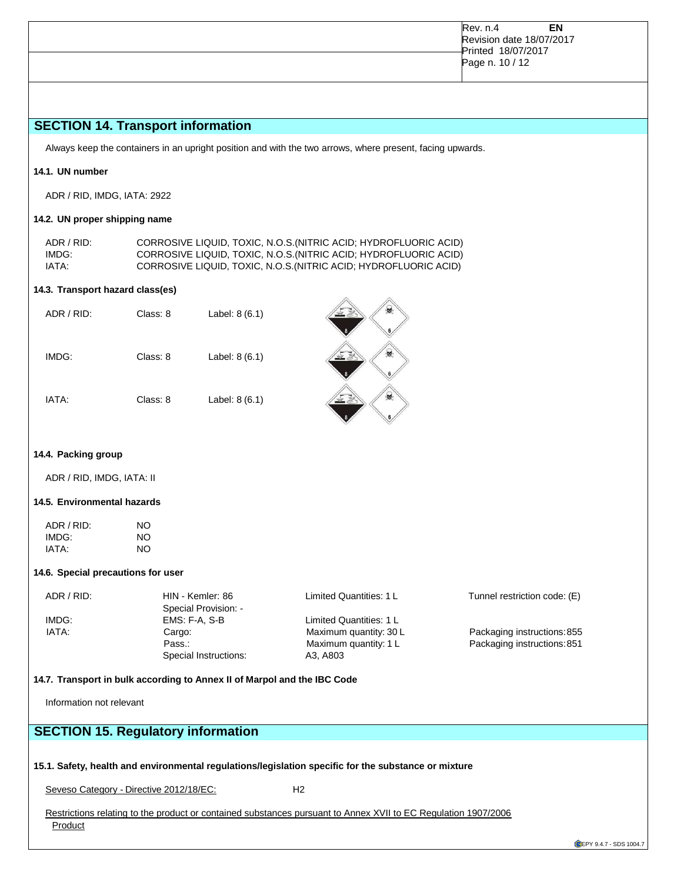|  | EN<br>Rev. n.4<br>Revision date 18/07/2017<br>Printed 18/07/2017<br>Page n. 10 / 12 |  |
|--|-------------------------------------------------------------------------------------|--|
|--|-------------------------------------------------------------------------------------|--|

# **SECTION 14. Transport information**

Always keep the containers in an upright position and with the two arrows, where present, facing upwards.

## **14.1. UN number**

ADR / RID, IMDG, IATA: 2922

### **14.2. UN proper shipping name**

ADR / RID: CORROSIVE LIQUID, TOXIC, N.O.S.(NITRIC ACID; HYDROFLUORIC ACID) IMDG: CORROSIVE LIQUID, TOXIC, N.O.S.(NITRIC ACID; HYDROFLUORIC ACID) CORROSIVE LIQUID, TOXIC, N.O.S. (NITRIC ACID; HYDROFLUORIC ACID)

#### **14.3. Transport hazard class(es)**

| ADR / RID: | Class: 8 | Label: 8 (6.1) | 爆 |
|------------|----------|----------------|---|
| IMDG:      | Class: 8 | Label: 8 (6.1) | 蟉 |
| IATA:      | Class: 8 | Label: 8 (6.1) | 爆 |

#### **14.4. Packing group**

ADR / RID, IMDG, IATA: II

#### **14.5. Environmental hazards**

| ADR / RID: | NΟ |
|------------|----|
| IMDG:      | NO |
| IATA:      | NΟ |

#### **14.6. Special precautions for user**

| ADR / RID: | HIN - Kemler: 86      | Limited Quantities: 1 L | Tunnel restriction code: (E) |
|------------|-----------------------|-------------------------|------------------------------|
|            | Special Provision: -  |                         |                              |
| IMDG:      | EMS: F-A. S-B         | Limited Quantities: 1 L |                              |
| IATA:      | Cargo:                | Maximum quantity: 30 L  | Packaging instructions: 855  |
|            | Pass.:                | Maximum quantity: 1 L   | Packaging instructions: 851  |
|            | Special Instructions: | A3. A803                |                              |

#### **14.7. Transport in bulk according to Annex II of Marpol and the IBC Code**

Information not relevant

# **SECTION 15. Regulatory information**

### **15.1. Safety, health and environmental regulations/legislation specific for the substance or mixture**

Seveso Category - Directive 2012/18/EC: H2

Restrictions relating to the product or contained substances pursuant to Annex XVII to EC Regulation 1907/2006 **Product**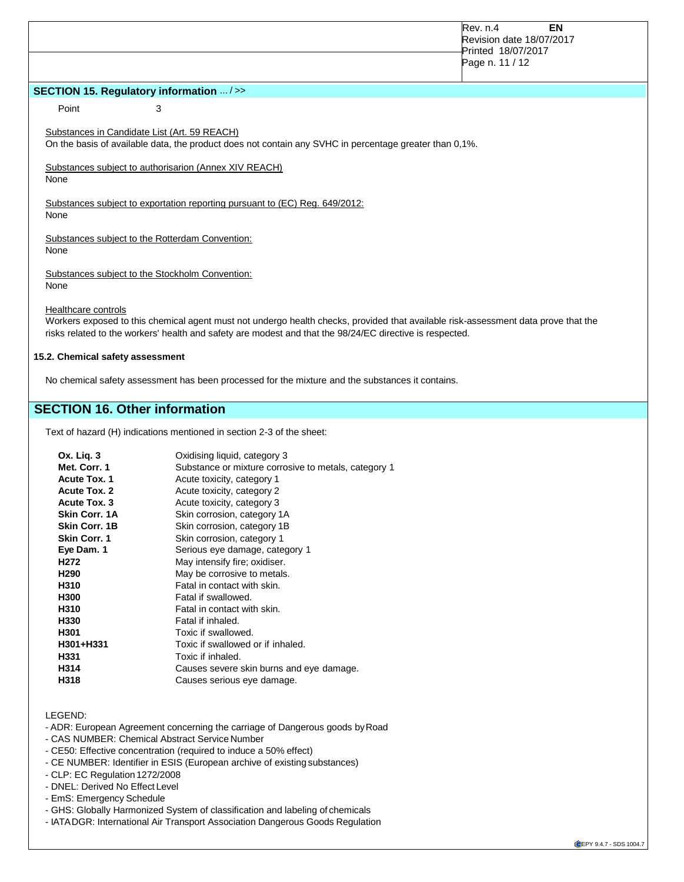|                     |                                                       |                                                                                                        | <b>EN</b><br><b>Rev. n.4</b><br>Revision date 18/07/2017<br>Printed 18/07/2017<br>Page n. 11 / 12 |
|---------------------|-------------------------------------------------------|--------------------------------------------------------------------------------------------------------|---------------------------------------------------------------------------------------------------|
|                     | <b>SECTION 15. Regulatory information  / &gt;&gt;</b> |                                                                                                        |                                                                                                   |
| Point               | 3                                                     |                                                                                                        |                                                                                                   |
|                     | Substances in Candidate List (Art. 59 REACH)          | On the basis of available data, the product does not contain any SVHC in percentage greater than 0,1%. |                                                                                                   |
| None                | Substances subject to authorisarion (Annex XIV REACH) |                                                                                                        |                                                                                                   |
| None                |                                                       | Substances subject to exportation reporting pursuant to (EC) Reg. 649/2012:                            |                                                                                                   |
| None                | Substances subject to the Rotterdam Convention:       |                                                                                                        |                                                                                                   |
| None                | Substances subject to the Stockholm Convention:       |                                                                                                        |                                                                                                   |
| Healthcare controls |                                                       |                                                                                                        |                                                                                                   |

Workers exposed to this chemical agent must not undergo health checks, provided that available risk-assessment data prove that the risks related to the workers' health and safety are modest and that the 98/24/EC directive is respected.

#### **15.2. Chemical safety assessment**

No chemical safety assessment has been processed for the mixture and the substances it contains.

# **SECTION 16. Other information**

Text of hazard (H) indications mentioned in section 2-3 of the sheet:

| Ox. Lig. 3          | Oxidising liquid, category 3                         |
|---------------------|------------------------------------------------------|
| Met. Corr. 1        | Substance or mixture corrosive to metals, category 1 |
| <b>Acute Tox. 1</b> | Acute toxicity, category 1                           |
| <b>Acute Tox. 2</b> | Acute toxicity, category 2                           |
| Acute Tox. 3        | Acute toxicity, category 3                           |
| Skin Corr. 1A       | Skin corrosion, category 1A                          |
| Skin Corr. 1B       | Skin corrosion, category 1B                          |
| <b>Skin Corr. 1</b> | Skin corrosion, category 1                           |
| Eye Dam. 1          | Serious eye damage, category 1                       |
| H272                | May intensify fire; oxidiser.                        |
| H290                | May be corrosive to metals.                          |
| H310                | Fatal in contact with skin.                          |
| H300                | Fatal if swallowed.                                  |
| H310                | Fatal in contact with skin.                          |
| H330                | Fatal if inhaled.                                    |
| H301                | Toxic if swallowed.                                  |
| H301+H331           | Toxic if swallowed or if inhaled.                    |
| H331                | Toxic if inhaled.                                    |
| H314                | Causes severe skin burns and eye damage.             |
| H318                | Causes serious eye damage.                           |
|                     |                                                      |

#### LEGEND:

- ADR: European Agreement concerning the carriage of Dangerous goods byRoad
- CAS NUMBER: Chemical Abstract Service Number
- CE50: Effective concentration (required to induce a 50% effect)
- CE NUMBER: Identifier in ESIS (European archive of existing substances)
- CLP: EC Regulation 1272/2008
- DNEL: Derived No Effect Level
- EmS: Emergency Schedule
- GHS: Globally Harmonized System of classification and labeling of chemicals
- IATADGR: International Air Transport Association Dangerous Goods Regulation